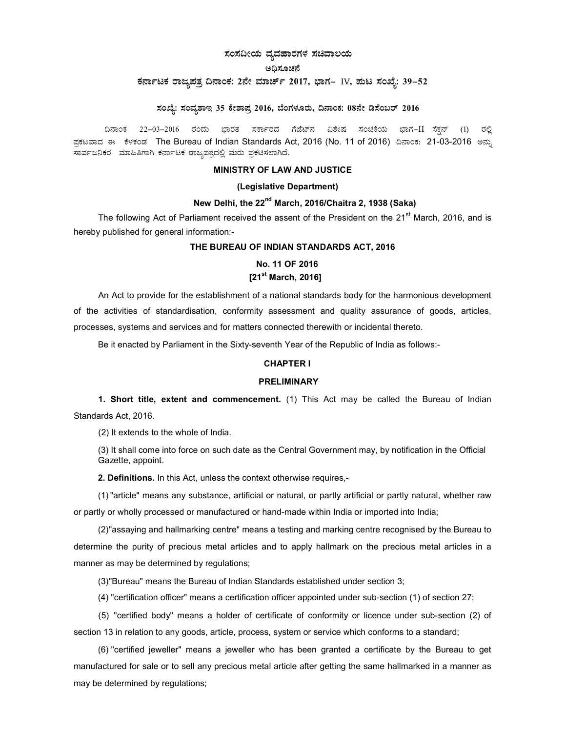# ಸಂಸದೀಯ ವ್ಯವಹಾರಗಳ ಸಚಿವಾಲಯ

#### ಅಧಿಸೂಚನೆ

# ಕರ್ನಾಟಕ ರಾಜ್ಯಪತ್ರ ದಿನಾಂಕ: 2ನೇ ಮಾರ್ಚ್ 2017, ಭಾಗ– IV, ಪುಟ ಸಂಖ್ಯೆ: 39–52

# ಸಂಖ್ಯೆ: ಸಂವ್ಯಶಾಇ 35 ಕೇಶಾಪ್ರ 2016, ಬೆಂಗಳೂರು, ದಿನಾಂಕ: 08ನೇ ಡಿಸೆಂಬರ್ 2016

ದಿನಾಂಕ 22–03–2016 ರಂದು ಭಾರತ ಸರ್ಕಾರದ ಗೆಜೆಟ್ನ ವಿಶೇಷ ಸಂಚಿಕೆಯ ಭಾಗ−II ಸೆಕ್ಷನ್ (1) ರಲ್ಲಿ ಪ್ರಕಟವಾದ ಈ ಕೆಳಕಂಡ The Bureau of Indian Standards Act, 2016 (No. 11 of 2016) ದಿನಾಂಕ: 21-03-2016 ಅನ್ಸು ಸಾರ್ವಜನಿಕರ ಮಾಹಿತಿಗಾಗಿ ಕರ್ನಾಟಕ ರಾಜ್ಯಪತ್ರದಲ್ಲಿ ಮರು ಪ್ರಕಟಿಸಲಾಗಿದೆ.

### MINISTRY OF LAW AND JUSTICE

### (Legislative Department)

#### New Delhi, the  $22<sup>nd</sup>$  March, 2016/Chaitra 2, 1938 (Saka)

The following Act of Parliament received the assent of the President on the 21<sup>st</sup> March, 2016, and is hereby published for general information:-

#### THE BUREAU OF INDIAN STANDARDS ACT, 2016

# No. 11 OF 2016  $[21<sup>st</sup> March, 2016]$

An Act to provide for the establishment of a national standards body for the harmonious development of the activities of standardisation, conformity assessment and quality assurance of goods, articles, processes, systems and services and for matters connected therewith or incidental thereto.

Be it enacted by Parliament in the Sixty-seventh Year of the Republic of India as follows:-

#### CHAPTER I

### **PRELIMINARY**

1. Short title, extent and commencement. (1) This Act may be called the Bureau of Indian Standards Act, 2016.

(2) It extends to the whole of India.

(3) It shall come into force on such date as the Central Government may, by notification in the Official Gazette, appoint.

2. Definitions. In this Act, unless the context otherwise requires,-

(1) "article" means any substance, artificial or natural, or partly artificial or partly natural, whether raw or partly or wholly processed or manufactured or hand-made within India or imported into India;

(2) "assaying and hallmarking centre" means a testing and marking centre recognised by the Bureau to determine the purity of precious metal articles and to apply hallmark on the precious metal articles in a manner as may be determined by regulations;

(3) "Bureau" means the Bureau of Indian Standards established under section 3;

(4) "certification officer" means a certification officer appointed under sub-section (1) of section 27;

(5) "certified body" means a holder of certificate of conformity or licence under sub-section (2) of section 13 in relation to any goods, article, process, system or service which conforms to a standard;

(6) "certified jeweller" means a jeweller who has been granted a certificate by the Bureau to get manufactured for sale or to sell any precious metal article after getting the same hallmarked in a manner as may be determined by regulations;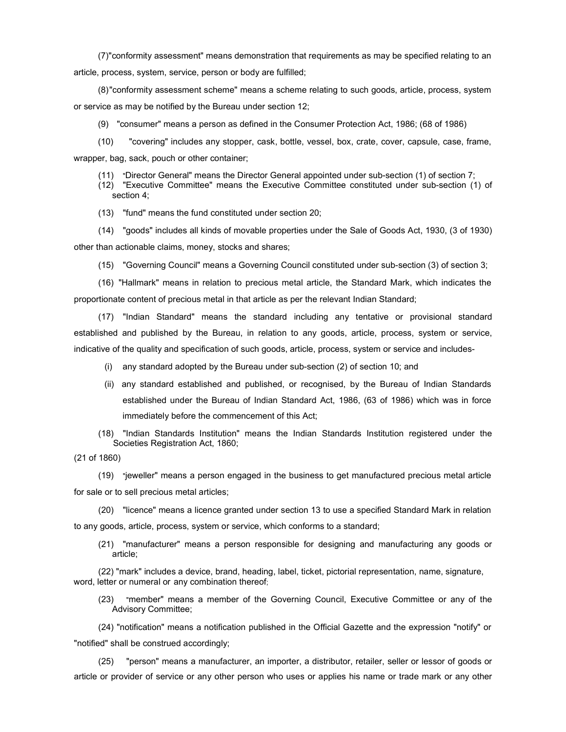(7) "conformity assessment" means demonstration that requirements as may be specified relating to an article, process, system, service, person or body are fulfilled;

(8) "conformity assessment scheme" means a scheme relating to such goods, article, process, system or service as may be notified by the Bureau under section 12;

(9) "consumer" means a person as defined in the Consumer Protection Act, 1986; (68 of 1986)

(10) "covering" includes any stopper, cask, bottle, vessel, box, crate, cover, capsule, case, frame, wrapper, bag, sack, pouch or other container;

(11) "Director General" means the Director General appointed under sub-section (1) of section 7;

(12) "Executive Committee" means the Executive Committee constituted under sub-section (1) of section 4;

(13) "fund" means the fund constituted under section 20;

(14) "goods" includes all kinds of movable properties under the Sale of Goods Act, 1930, (3 of 1930) other than actionable claims, money, stocks and shares;

(15) "Governing Council" means a Governing Council constituted under sub-section (3) of section 3;

(16) "Hallmark" means in relation to precious metal article, the Standard Mark, which indicates the proportionate content of precious metal in that article as per the relevant Indian Standard;

(17) "Indian Standard" means the standard including any tentative or provisional standard established and published by the Bureau, in relation to any goods, article, process, system or service, indicative of the quality and specification of such goods, article, process, system or service and includes-

- (i) any standard adopted by the Bureau under sub-section (2) of section 10; and
- (ii) any standard established and published, or recognised, by the Bureau of Indian Standards established under the Bureau of Indian Standard Act, 1986, (63 of 1986) which was in force immediately before the commencement of this Act;
- (18) "Indian Standards Institution" means the Indian Standards Institution registered under the Societies Registration Act, 1860;

(21 of 1860)

(19) "jeweller" means a person engaged in the business to get manufactured precious metal article for sale or to sell precious metal articles;

(20) "licence" means a licence granted under section 13 to use a specified Standard Mark in relation to any goods, article, process, system or service, which conforms to a standard;

(21) "manufacturer" means a person responsible for designing and manufacturing any goods or article;

(22) "mark" includes a device, brand, heading, label, ticket, pictorial representation, name, signature, word, letter or numeral or any combination thereof;

(23) "member" means a member of the Governing Council, Executive Committee or any of the Advisory Committee;

(24) "notification" means a notification published in the Official Gazette and the expression "notify" or "notified" shall be construed accordingly;

(25) "person" means a manufacturer, an importer, a distributor, retailer, seller or lessor of goods or article or provider of service or any other person who uses or applies his name or trade mark or any other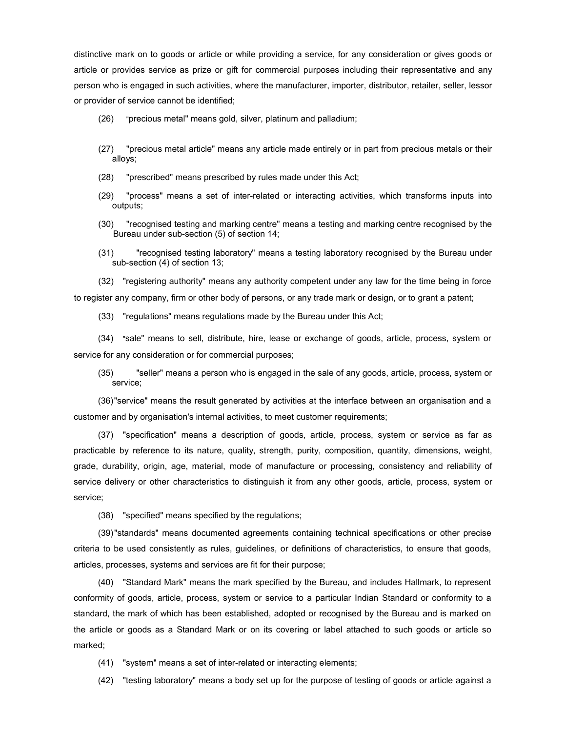distinctive mark on to goods or article or while providing a service, for any consideration or gives goods or article or provides service as prize or gift for commercial purposes including their representative and any person who is engaged in such activities, where the manufacturer, importer, distributor, retailer, seller, lessor or provider of service cannot be identified;

- (26) "precious metal" means gold, silver, platinum and palladium;
- (27) "precious metal article" means any article made entirely or in part from precious metals or their alloys;
- (28) "prescribed" means prescribed by rules made under this Act;
- (29) "process" means a set of inter-related or interacting activities, which transforms inputs into outputs;
- (30) "recognised testing and marking centre" means a testing and marking centre recognised by the Bureau under sub-section (5) of section 14;
- (31) "recognised testing laboratory" means a testing laboratory recognised by the Bureau under sub-section (4) of section 13;

(32) "registering authority" means any authority competent under any law for the time being in force to register any company, firm or other body of persons, or any trade mark or design, or to grant a patent;

(33) "regulations" means regulations made by the Bureau under this Act;

(34) "sale" means to sell, distribute, hire, lease or exchange of goods, article, process, system or service for any consideration or for commercial purposes;

(35) "seller" means a person who is engaged in the sale of any goods, article, process, system or service;

(36) "service" means the result generated by activities at the interface between an organisation and a customer and by organisation's internal activities, to meet customer requirements;

(37) "specification" means a description of goods, article, process, system or service as far as practicable by reference to its nature, quality, strength, purity, composition, quantity, dimensions, weight, grade, durability, origin, age, material, mode of manufacture or processing, consistency and reliability of service delivery or other characteristics to distinguish it from any other goods, article, process, system or service;

(38) "specified" means specified by the regulations;

(39) "standards" means documented agreements containing technical specifications or other precise criteria to be used consistently as rules, guidelines, or definitions of characteristics, to ensure that goods, articles, processes, systems and services are fit for their purpose;

(40) "Standard Mark" means the mark specified by the Bureau, and includes Hallmark, to represent conformity of goods, article, process, system or service to a particular Indian Standard or conformity to a standard, the mark of which has been established, adopted or recognised by the Bureau and is marked on the article or goods as a Standard Mark or on its covering or label attached to such goods or article so marked;

- (41) "system" means a set of inter-related or interacting elements;
- (42) "testing laboratory" means a body set up for the purpose of testing of goods or article against a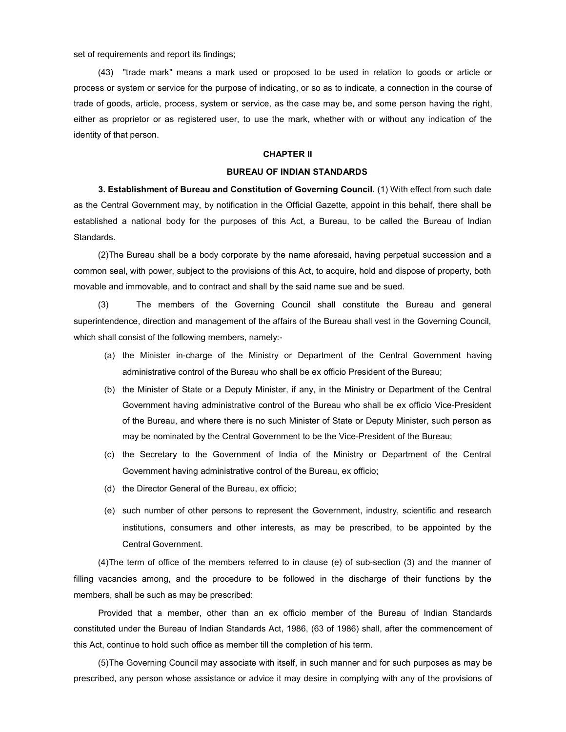set of requirements and report its findings;

(43) "trade mark" means a mark used or proposed to be used in relation to goods or article or process or system or service for the purpose of indicating, or so as to indicate, a connection in the course of trade of goods, article, process, system or service, as the case may be, and some person having the right, either as proprietor or as registered user, to use the mark, whether with or without any indication of the identity of that person.

#### CHAPTER II

## BUREAU OF INDIAN STANDARDS

3. Establishment of Bureau and Constitution of Governing Council. (1) With effect from such date as the Central Government may, by notification in the Official Gazette, appoint in this behalf, there shall be established a national body for the purposes of this Act, a Bureau, to be called the Bureau of Indian **Standards** 

(2) The Bureau shall be a body corporate by the name aforesaid, having perpetual succession and a common seal, with power, subject to the provisions of this Act, to acquire, hold and dispose of property, both movable and immovable, and to contract and shall by the said name sue and be sued.

(3) The members of the Governing Council shall constitute the Bureau and general superintendence, direction and management of the affairs of the Bureau shall vest in the Governing Council, which shall consist of the following members, namely:-

- (a) the Minister in-charge of the Ministry or Department of the Central Government having administrative control of the Bureau who shall be ex officio President of the Bureau;
- (b) the Minister of State or a Deputy Minister, if any, in the Ministry or Department of the Central Government having administrative control of the Bureau who shall be ex officio Vice-President of the Bureau, and where there is no such Minister of State or Deputy Minister, such person as may be nominated by the Central Government to be the Vice-President of the Bureau;
- (c) the Secretary to the Government of India of the Ministry or Department of the Central Government having administrative control of the Bureau, ex officio;
- (d) the Director General of the Bureau, ex officio;
- (e) such number of other persons to represent the Government, industry, scientific and research institutions, consumers and other interests, as may be prescribed, to be appointed by the Central Government.

(4) The term of office of the members referred to in clause (e) of sub-section (3) and the manner of filling vacancies among, and the procedure to be followed in the discharge of their functions by the members, shall be such as may be prescribed:

Provided that a member, other than an ex officio member of the Bureau of Indian Standards constituted under the Bureau of Indian Standards Act, 1986, (63 of 1986) shall, after the commencement of this Act, continue to hold such office as member till the completion of his term.

(5) The Governing Council may associate with itself, in such manner and for such purposes as may be prescribed, any person whose assistance or advice it may desire in complying with any of the provisions of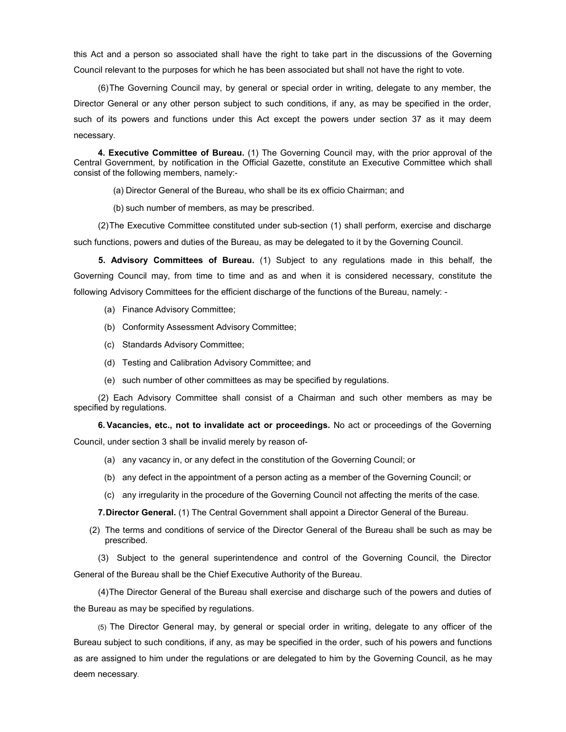this Act and a person so associated shall have the right to take part in the discussions of the Governing Council relevant to the purposes for which he has been associated but shall not have the right to vote.

(6) The Governing Council may, by general or special order in writing, delegate to any member, the Director General or any other person subject to such conditions, if any, as may be specified in the order, such of its powers and functions under this Act except the powers under section 37 as it may deem necessary.

4. Executive Committee of Bureau. (1) The Governing Council may, with the prior approval of the Central Government, by notification in the Official Gazette, constitute an Executive Committee which shall consist of the following members, namely:-

(a) Director General of the Bureau, who shall be its ex officio Chairman; and

(b) such number of members, as may be prescribed.

(2) The Executive Committee constituted under sub-section (1) shall perform, exercise and discharge

such functions, powers and duties of the Bureau, as may be delegated to it by the Governing Council.

5. Advisory Committees of Bureau. (1) Subject to any regulations made in this behalf, the Governing Council may, from time to time and as and when it is considered necessary, constitute the following Advisory Committees for the efficient discharge of the functions of the Bureau, namely: -

- (a) Finance Advisory Committee;
- (b) Conformity Assessment Advisory Committee;
- (c) Standards Advisory Committee;
- (d) Testing and Calibration Advisory Committee; and
- (e) such number of other committees as may be specified by regulations.

(2) Each Advisory Committee shall consist of a Chairman and such other members as may be specified by regulations.

6. Vacancies, etc., not to invalidate act or proceedings. No act or proceedings of the Governing

Council, under section 3 shall be invalid merely by reason of-

- (a) any vacancy in, or any defect in the constitution of the Governing Council; or
- (b) any defect in the appointment of a person acting as a member of the Governing Council; or
- (c) any irregularity in the procedure of the Governing Council not affecting the merits of the case.

7. Director General. (1) The Central Government shall appoint a Director General of the Bureau.

(2) The terms and conditions of service of the Director General of the Bureau shall be such as may be prescribed.

(3) Subject to the general superintendence and control of the Governing Council, the Director General of the Bureau shall be the Chief Executive Authority of the Bureau.

(4) The Director General of the Bureau shall exercise and discharge such of the powers and duties of the Bureau as may be specified by regulations.

(5) The Director General may, by general or special order in writing, delegate to any officer of the Bureau subject to such conditions, if any, as may be specified in the order, such of his powers and functions as are assigned to him under the regulations or are delegated to him by the Governing Council, as he may deem necessary.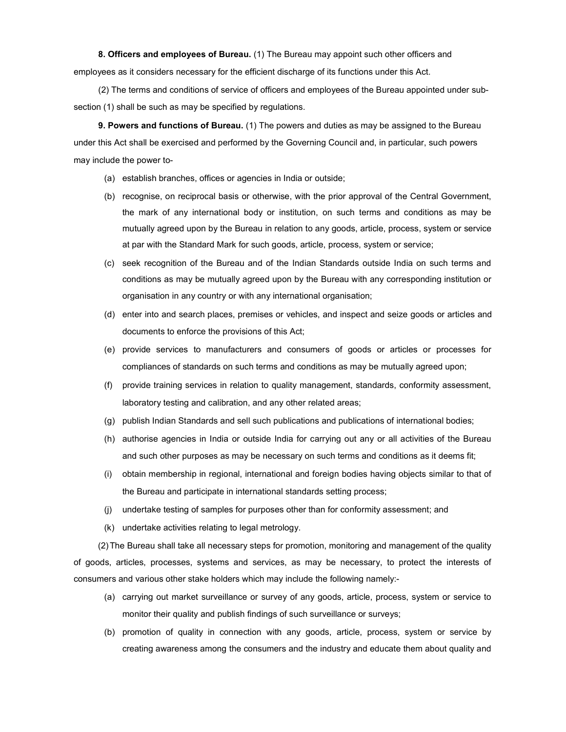8. Officers and employees of Bureau. (1) The Bureau may appoint such other officers and employees as it considers necessary for the efficient discharge of its functions under this Act.

(2) The terms and conditions of service of officers and employees of the Bureau appointed under subsection (1) shall be such as may be specified by regulations.

9. Powers and functions of Bureau. (1) The powers and duties as may be assigned to the Bureau under this Act shall be exercised and performed by the Governing Council and, in particular, such powers may include the power to-

- (a) establish branches, offices or agencies in India or outside;
- (b) recognise, on reciprocal basis or otherwise, with the prior approval of the Central Government, the mark of any international body or institution, on such terms and conditions as may be mutually agreed upon by the Bureau in relation to any goods, article, process, system or service at par with the Standard Mark for such goods, article, process, system or service;
- (c) seek recognition of the Bureau and of the Indian Standards outside India on such terms and conditions as may be mutually agreed upon by the Bureau with any corresponding institution or organisation in any country or with any international organisation;
- (d) enter into and search places, premises or vehicles, and inspect and seize goods or articles and documents to enforce the provisions of this Act;
- (e) provide services to manufacturers and consumers of goods or articles or processes for compliances of standards on such terms and conditions as may be mutually agreed upon;
- (f) provide training services in relation to quality management, standards, conformity assessment, laboratory testing and calibration, and any other related areas;
- (g) publish Indian Standards and sell such publications and publications of international bodies;
- (h) authorise agencies in India or outside India for carrying out any or all activities of the Bureau and such other purposes as may be necessary on such terms and conditions as it deems fit;
- (i) obtain membership in regional, international and foreign bodies having objects similar to that of the Bureau and participate in international standards setting process;
- (j) undertake testing of samples for purposes other than for conformity assessment; and
- (k) undertake activities relating to legal metrology.

(2) The Bureau shall take all necessary steps for promotion, monitoring and management of the quality of goods, articles, processes, systems and services, as may be necessary, to protect the interests of consumers and various other stake holders which may include the following namely:-

- (a) carrying out market surveillance or survey of any goods, article, process, system or service to monitor their quality and publish findings of such surveillance or surveys;
- (b) promotion of quality in connection with any goods, article, process, system or service by creating awareness among the consumers and the industry and educate them about quality and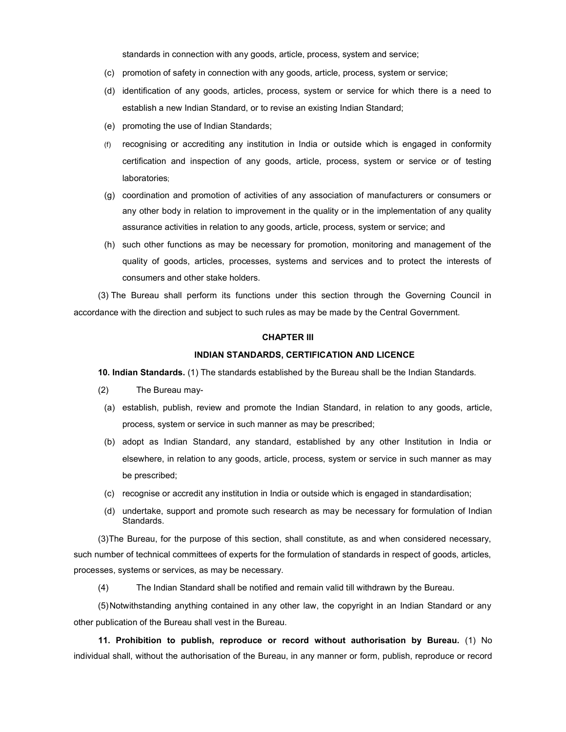standards in connection with any goods, article, process, system and service;

- (c) promotion of safety in connection with any goods, article, process, system or service;
- (d) identification of any goods, articles, process, system or service for which there is a need to establish a new Indian Standard, or to revise an existing Indian Standard;
- (e) promoting the use of Indian Standards;
- (f) recognising or accrediting any institution in India or outside which is engaged in conformity certification and inspection of any goods, article, process, system or service or of testing laboratories;
- (g) coordination and promotion of activities of any association of manufacturers or consumers or any other body in relation to improvement in the quality or in the implementation of any quality assurance activities in relation to any goods, article, process, system or service; and
- (h) such other functions as may be necessary for promotion, monitoring and management of the quality of goods, articles, processes, systems and services and to protect the interests of consumers and other stake holders.

(3) The Bureau shall perform its functions under this section through the Governing Council in accordance with the direction and subject to such rules as may be made by the Central Government.

## CHAPTER III

### INDIAN STANDARDS, CERTIFICATION AND LICENCE

10. Indian Standards. (1) The standards established by the Bureau shall be the Indian Standards.

- (2) The Bureau may-
- (a) establish, publish, review and promote the Indian Standard, in relation to any goods, article, process, system or service in such manner as may be prescribed;
- (b) adopt as Indian Standard, any standard, established by any other Institution in India or elsewhere, in relation to any goods, article, process, system or service in such manner as may be prescribed;
- (c) recognise or accredit any institution in India or outside which is engaged in standardisation;
- (d) undertake, support and promote such research as may be necessary for formulation of Indian Standards.

(3) The Bureau, for the purpose of this section, shall constitute, as and when considered necessary, such number of technical committees of experts for the formulation of standards in respect of goods, articles, processes, systems or services, as may be necessary.

(4) The Indian Standard shall be notified and remain valid till withdrawn by the Bureau.

(5) Notwithstanding anything contained in any other law, the copyright in an Indian Standard or any other publication of the Bureau shall vest in the Bureau.

11. Prohibition to publish, reproduce or record without authorisation by Bureau. (1) No individual shall, without the authorisation of the Bureau, in any manner or form, publish, reproduce or record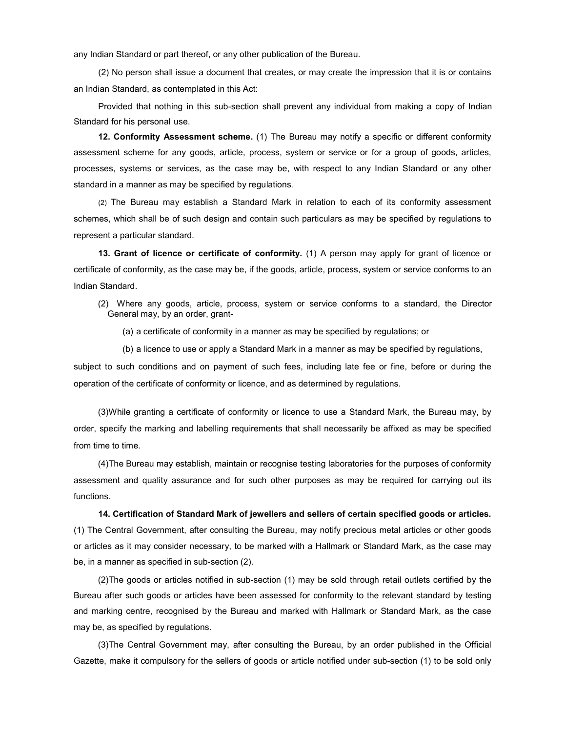any Indian Standard or part thereof, or any other publication of the Bureau.

(2) No person shall issue a document that creates, or may create the impression that it is or contains an Indian Standard, as contemplated in this Act:

Provided that nothing in this sub-section shall prevent any individual from making a copy of Indian Standard for his personal use.

12. Conformity Assessment scheme. (1) The Bureau may notify a specific or different conformity assessment scheme for any goods, article, process, system or service or for a group of goods, articles, processes, systems or services, as the case may be, with respect to any Indian Standard or any other standard in a manner as may be specified by regulations.

(2) The Bureau may establish a Standard Mark in relation to each of its conformity assessment schemes, which shall be of such design and contain such particulars as may be specified by regulations to represent a particular standard.

13. Grant of licence or certificate of conformity. (1) A person may apply for grant of licence or certificate of conformity, as the case may be, if the goods, article, process, system or service conforms to an Indian Standard.

- (2) Where any goods, article, process, system or service conforms to a standard, the Director General may, by an order, grant-
	- (a) a certificate of conformity in a manner as may be specified by regulations; or
	- (b) a licence to use or apply a Standard Mark in a manner as may be specified by regulations,

subject to such conditions and on payment of such fees, including late fee or fine, before or during the operation of the certificate of conformity or licence, and as determined by regulations.

(3) While granting a certificate of conformity or licence to use a Standard Mark, the Bureau may, by order, specify the marking and labelling requirements that shall necessarily be affixed as may be specified from time to time.

(4) The Bureau may establish, maintain or recognise testing laboratories for the purposes of conformity assessment and quality assurance and for such other purposes as may be required for carrying out its functions.

14. Certification of Standard Mark of jewellers and sellers of certain specified goods or articles. (1) The Central Government, after consulting the Bureau, may notify precious metal articles or other goods or articles as it may consider necessary, to be marked with a Hallmark or Standard Mark, as the case may be, in a manner as specified in sub-section (2).

(2) The goods or articles notified in sub-section (1) may be sold through retail outlets certified by the Bureau after such goods or articles have been assessed for conformity to the relevant standard by testing and marking centre, recognised by the Bureau and marked with Hallmark or Standard Mark, as the case may be, as specified by regulations.

(3) The Central Government may, after consulting the Bureau, by an order published in the Official Gazette, make it compulsory for the sellers of goods or article notified under sub-section (1) to be sold only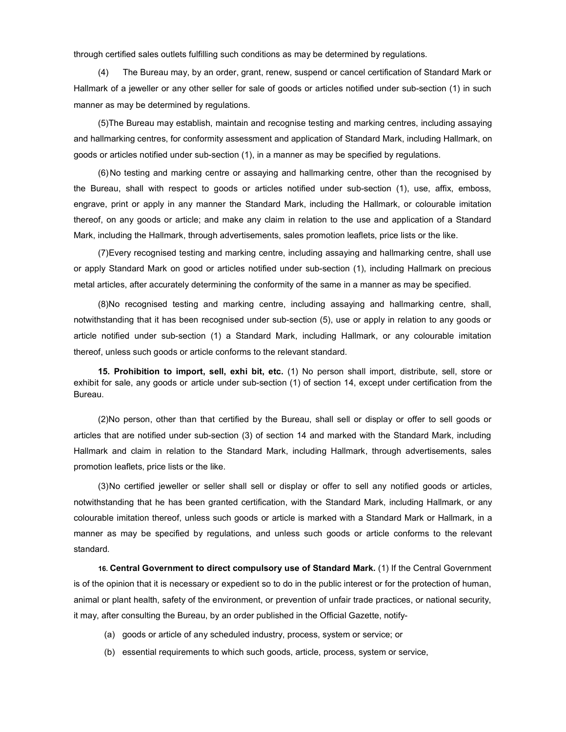through certified sales outlets fulfilling such conditions as may be determined by regulations.

(4) The Bureau may, by an order, grant, renew, suspend or cancel certification of Standard Mark or Hallmark of a jeweller or any other seller for sale of goods or articles notified under sub-section (1) in such manner as may be determined by regulations.

(5) The Bureau may establish, maintain and recognise testing and marking centres, including assaying and hallmarking centres, for conformity assessment and application of Standard Mark, including Hallmark, on goods or articles notified under sub-section (1), in a manner as may be specified by regulations.

(6) No testing and marking centre or assaying and hallmarking centre, other than the recognised by the Bureau, shall with respect to goods or articles notified under sub-section (1), use, affix, emboss, engrave, print or apply in any manner the Standard Mark, including the Hallmark, or colourable imitation thereof, on any goods or article; and make any claim in relation to the use and application of a Standard Mark, including the Hallmark, through advertisements, sales promotion leaflets, price lists or the like.

(7) Every recognised testing and marking centre, including assaying and hallmarking centre, shall use or apply Standard Mark on good or articles notified under sub-section (1), including Hallmark on precious metal articles, after accurately determining the conformity of the same in a manner as may be specified.

(8) No recognised testing and marking centre, including assaying and hallmarking centre, shall, notwithstanding that it has been recognised under sub-section (5), use or apply in relation to any goods or article notified under sub-section (1) a Standard Mark, including Hallmark, or any colourable imitation thereof, unless such goods or article conforms to the relevant standard.

15. Prohibition to import, sell, exhi bit, etc. (1) No person shall import, distribute, sell, store or exhibit for sale, any goods or article under sub-section (1) of section 14, except under certification from the Bureau.

(2) No person, other than that certified by the Bureau, shall sell or display or offer to sell goods or articles that are notified under sub-section (3) of section 14 and marked with the Standard Mark, including Hallmark and claim in relation to the Standard Mark, including Hallmark, through advertisements, sales promotion leaflets, price lists or the like.

(3) No certified jeweller or seller shall sell or display or offer to sell any notified goods or articles, notwithstanding that he has been granted certification, with the Standard Mark, including Hallmark, or any colourable imitation thereof, unless such goods or article is marked with a Standard Mark or Hallmark, in a manner as may be specified by regulations, and unless such goods or article conforms to the relevant standard.

16. Central Government to direct compulsory use of Standard Mark. (1) If the Central Government is of the opinion that it is necessary or expedient so to do in the public interest or for the protection of human, animal or plant health, safety of the environment, or prevention of unfair trade practices, or national security, it may, after consulting the Bureau, by an order published in the Official Gazette, notify-

- (a) goods or article of any scheduled industry, process, system or service; or
- (b) essential requirements to which such goods, article, process, system or service,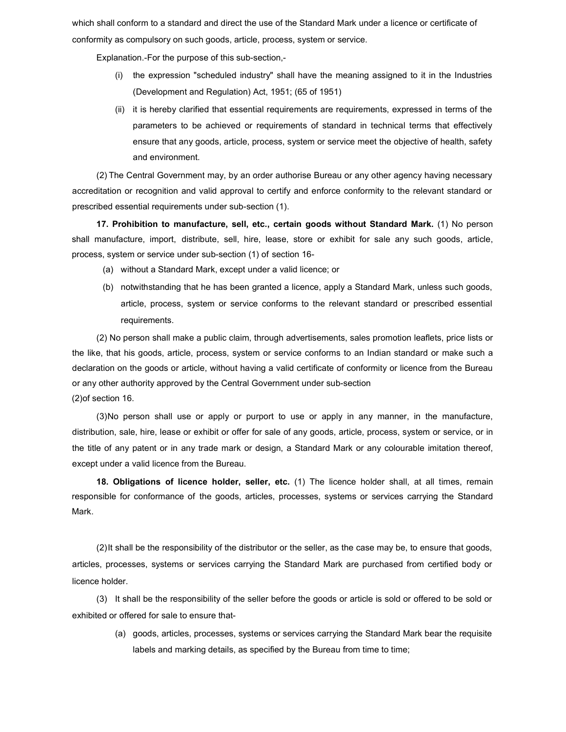which shall conform to a standard and direct the use of the Standard Mark under a licence or certificate of conformity as compulsory on such goods, article, process, system or service.

Explanation.-For the purpose of this sub-section,-

- (i) the expression "scheduled industry" shall have the meaning assigned to it in the Industries (Development and Regulation) Act, 1951; (65 of 1951)
- (ii) it is hereby clarified that essential requirements are requirements, expressed in terms of the parameters to be achieved or requirements of standard in technical terms that effectively ensure that any goods, article, process, system or service meet the objective of health, safety and environment.

(2) The Central Government may, by an order authorise Bureau or any other agency having necessary accreditation or recognition and valid approval to certify and enforce conformity to the relevant standard or prescribed essential requirements under sub-section (1).

17. Prohibition to manufacture, sell, etc., certain goods without Standard Mark. (1) No person shall manufacture, import, distribute, sell, hire, lease, store or exhibit for sale any such goods, article, process, system or service under sub-section (1) of section 16-

- (a) without a Standard Mark, except under a valid licence; or
- (b) notwithstanding that he has been granted a licence, apply a Standard Mark, unless such goods, article, process, system or service conforms to the relevant standard or prescribed essential requirements.

(2) No person shall make a public claim, through advertisements, sales promotion leaflets, price lists or the like, that his goods, article, process, system or service conforms to an Indian standard or make such a declaration on the goods or article, without having a valid certificate of conformity or licence from the Bureau or any other authority approved by the Central Government under sub-section (2) of section 16.

(3) No person shall use or apply or purport to use or apply in any manner, in the manufacture, distribution, sale, hire, lease or exhibit or offer for sale of any goods, article, process, system or service, or in the title of any patent or in any trade mark or design, a Standard Mark or any colourable imitation thereof, except under a valid licence from the Bureau.

18. Obligations of licence holder, seller, etc. (1) The licence holder shall, at all times, remain responsible for conformance of the goods, articles, processes, systems or services carrying the Standard Mark.

(2) It shall be the responsibility of the distributor or the seller, as the case may be, to ensure that goods, articles, processes, systems or services carrying the Standard Mark are purchased from certified body or licence holder.

(3) It shall be the responsibility of the seller before the goods or article is sold or offered to be sold or exhibited or offered for sale to ensure that-

(a) goods, articles, processes, systems or services carrying the Standard Mark bear the requisite labels and marking details, as specified by the Bureau from time to time;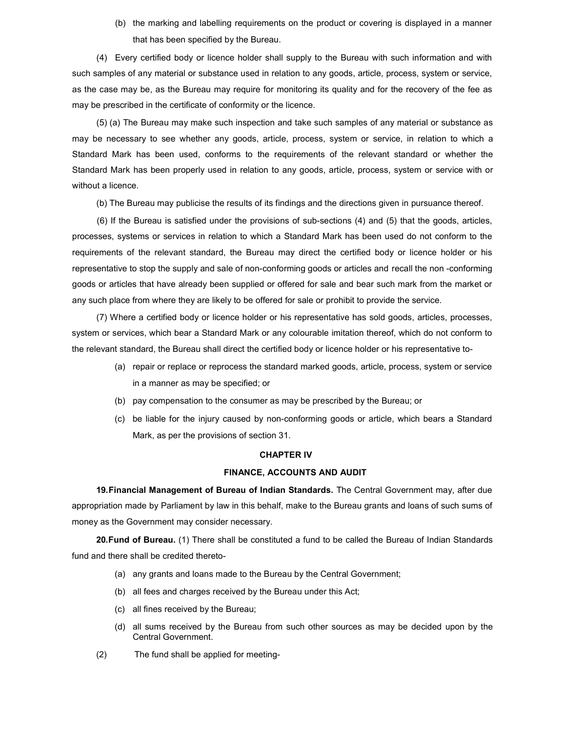(b) the marking and labelling requirements on the product or covering is displayed in a manner that has been specified by the Bureau.

(4) Every certified body or licence holder shall supply to the Bureau with such information and with such samples of any material or substance used in relation to any goods, article, process, system or service, as the case may be, as the Bureau may require for monitoring its quality and for the recovery of the fee as may be prescribed in the certificate of conformity or the licence.

(5) (a) The Bureau may make such inspection and take such samples of any material or substance as may be necessary to see whether any goods, article, process, system or service, in relation to which a Standard Mark has been used, conforms to the requirements of the relevant standard or whether the Standard Mark has been properly used in relation to any goods, article, process, system or service with or without a licence.

(b) The Bureau may publicise the results of its findings and the directions given in pursuance thereof.

(6) If the Bureau is satisfied under the provisions of sub-sections (4) and (5) that the goods, articles, processes, systems or services in relation to which a Standard Mark has been used do not conform to the requirements of the relevant standard, the Bureau may direct the certified body or licence holder or his representative to stop the supply and sale of non-conforming goods or articles and recall the non -conforming goods or articles that have already been supplied or offered for sale and bear such mark from the market or any such place from where they are likely to be offered for sale or prohibit to provide the service.

(7) Where a certified body or licence holder or his representative has sold goods, articles, processes, system or services, which bear a Standard Mark or any colourable imitation thereof, which do not conform to the relevant standard, the Bureau shall direct the certified body or licence holder or his representative to-

- (a) repair or replace or reprocess the standard marked goods, article, process, system or service in a manner as may be specified; or
- (b) pay compensation to the consumer as may be prescribed by the Bureau; or
- (c) be liable for the injury caused by non-conforming goods or article, which bears a Standard Mark, as per the provisions of section 31.

#### CHAPTER IV

## FINANCE, ACCOUNTS AND AUDIT

19. Financial Management of Bureau of Indian Standards. The Central Government may, after due appropriation made by Parliament by law in this behalf, make to the Bureau grants and loans of such sums of money as the Government may consider necessary.

20. Fund of Bureau. (1) There shall be constituted a fund to be called the Bureau of Indian Standards fund and there shall be credited thereto-

- (a) any grants and loans made to the Bureau by the Central Government;
- (b) all fees and charges received by the Bureau under this Act;
- (c) all fines received by the Bureau;
- (d) all sums received by the Bureau from such other sources as may be decided upon by the Central Government.
- (2) The fund shall be applied for meeting-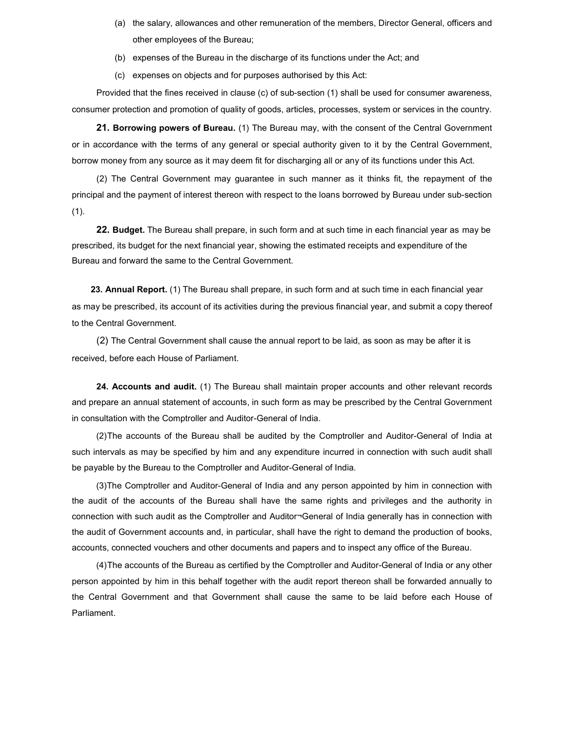- (a) the salary, allowances and other remuneration of the members, Director General, officers and other employees of the Bureau;
- (b) expenses of the Bureau in the discharge of its functions under the Act; and
- (c) expenses on objects and for purposes authorised by this Act:

Provided that the fines received in clause (c) of sub-section (1) shall be used for consumer awareness, consumer protection and promotion of quality of goods, articles, processes, system or services in the country.

21. Borrowing powers of Bureau. (1) The Bureau may, with the consent of the Central Government or in accordance with the terms of any general or special authority given to it by the Central Government, borrow money from any source as it may deem fit for discharging all or any of its functions under this Act.

(2) The Central Government may guarantee in such manner as it thinks fit, the repayment of the principal and the payment of interest thereon with respect to the loans borrowed by Bureau under sub-section  $(1)$ .

22. Budget. The Bureau shall prepare, in such form and at such time in each financial year as may be prescribed, its budget for the next financial year, showing the estimated receipts and expenditure of the Bureau and forward the same to the Central Government.

23. Annual Report. (1) The Bureau shall prepare, in such form and at such time in each financial year as may be prescribed, its account of its activities during the previous financial year, and submit a copy thereof to the Central Government.

(2) The Central Government shall cause the annual report to be laid, as soon as may be after it is received, before each House of Parliament.

24. Accounts and audit. (1) The Bureau shall maintain proper accounts and other relevant records and prepare an annual statement of accounts, in such form as may be prescribed by the Central Government in consultation with the Comptroller and Auditor-General of India.

(2) The accounts of the Bureau shall be audited by the Comptroller and Auditor-General of India at such intervals as may be specified by him and any expenditure incurred in connection with such audit shall be payable by the Bureau to the Comptroller and Auditor-General of India.

(3) The Comptroller and Auditor-General of India and any person appointed by him in connection with the audit of the accounts of the Bureau shall have the same rights and privileges and the authority in connection with such audit as the Comptroller and Auditor¬General of India generally has in connection with the audit of Government accounts and, in particular, shall have the right to demand the production of books, accounts, connected vouchers and other documents and papers and to inspect any office of the Bureau.

(4) The accounts of the Bureau as certified by the Comptroller and Auditor-General of India or any other person appointed by him in this behalf together with the audit report thereon shall be forwarded annually to the Central Government and that Government shall cause the same to be laid before each House of Parliament.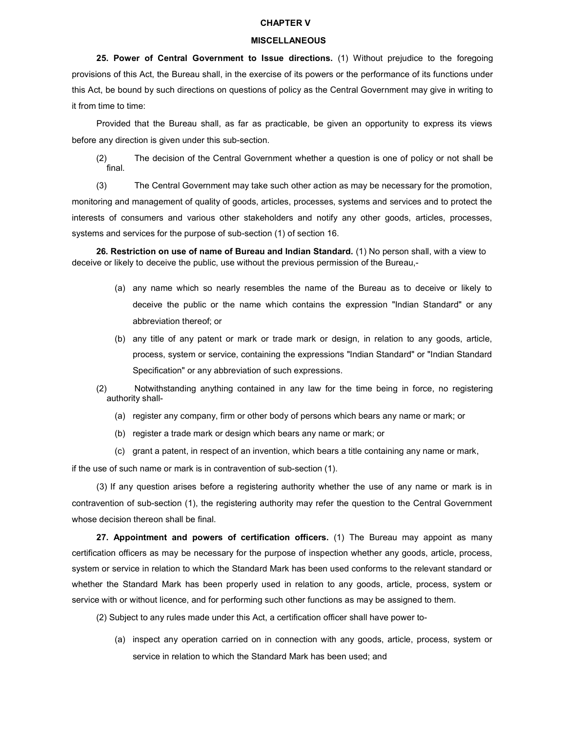### CHAPTER V

#### **MISCELLANEOUS**

25. Power of Central Government to Issue directions. (1) Without prejudice to the foregoing provisions of this Act, the Bureau shall, in the exercise of its powers or the performance of its functions under this Act, be bound by such directions on questions of policy as the Central Government may give in writing to it from time to time:

Provided that the Bureau shall, as far as practicable, be given an opportunity to express its views before any direction is given under this sub-section.

(2) The decision of the Central Government whether a question is one of policy or not shall be final.

(3) The Central Government may take such other action as may be necessary for the promotion, monitoring and management of quality of goods, articles, processes, systems and services and to protect the interests of consumers and various other stakeholders and notify any other goods, articles, processes, systems and services for the purpose of sub-section (1) of section 16.

26. Restriction on use of name of Bureau and Indian Standard. (1) No person shall, with a view to deceive or likely to deceive the public, use without the previous permission of the Bureau,-

- (a) any name which so nearly resembles the name of the Bureau as to deceive or likely to deceive the public or the name which contains the expression "Indian Standard" or any abbreviation thereof; or
- (b) any title of any patent or mark or trade mark or design, in relation to any goods, article, process, system or service, containing the expressions "Indian Standard" or "Indian Standard Specification" or any abbreviation of such expressions.
- (2) Notwithstanding anything contained in any law for the time being in force, no registering authority shall-
	- (a) register any company, firm or other body of persons which bears any name or mark; or
	- (b) register a trade mark or design which bears any name or mark; or
	- (c) grant a patent, in respect of an invention, which bears a title containing any name or mark,

if the use of such name or mark is in contravention of sub-section (1).

(3) If any question arises before a registering authority whether the use of any name or mark is in contravention of sub-section (1), the registering authority may refer the question to the Central Government whose decision thereon shall be final.

27. Appointment and powers of certification officers. (1) The Bureau may appoint as many certification officers as may be necessary for the purpose of inspection whether any goods, article, process, system or service in relation to which the Standard Mark has been used conforms to the relevant standard or whether the Standard Mark has been properly used in relation to any goods, article, process, system or service with or without licence, and for performing such other functions as may be assigned to them.

(2) Subject to any rules made under this Act, a certification officer shall have power to-

(a) inspect any operation carried on in connection with any goods, article, process, system or service in relation to which the Standard Mark has been used; and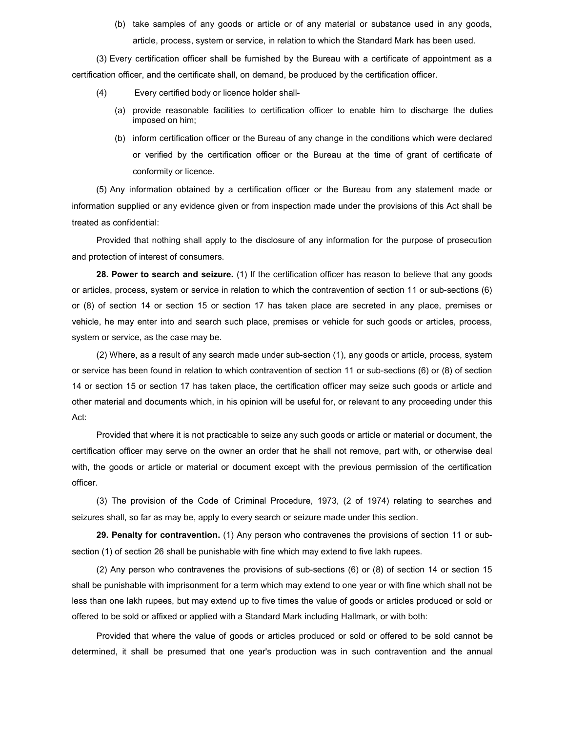(b) take samples of any goods or article or of any material or substance used in any goods, article, process, system or service, in relation to which the Standard Mark has been used.

(3) Every certification officer shall be furnished by the Bureau with a certificate of appointment as a certification officer, and the certificate shall, on demand, be produced by the certification officer.

- (4) Every certified body or licence holder shall-
	- (a) provide reasonable facilities to certification officer to enable him to discharge the duties imposed on him;
	- (b) inform certification officer or the Bureau of any change in the conditions which were declared or verified by the certification officer or the Bureau at the time of grant of certificate of conformity or licence.

(5) Any information obtained by a certification officer or the Bureau from any statement made or information supplied or any evidence given or from inspection made under the provisions of this Act shall be treated as confidential:

Provided that nothing shall apply to the disclosure of any information for the purpose of prosecution and protection of interest of consumers.

28. Power to search and seizure. (1) If the certification officer has reason to believe that any goods or articles, process, system or service in relation to which the contravention of section 11 or sub-sections (6) or (8) of section 14 or section 15 or section 17 has taken place are secreted in any place, premises or vehicle, he may enter into and search such place, premises or vehicle for such goods or articles, process, system or service, as the case may be.

(2) Where, as a result of any search made under sub-section (1), any goods or article, process, system or service has been found in relation to which contravention of section 11 or sub-sections (6) or (8) of section 14 or section 15 or section 17 has taken place, the certification officer may seize such goods or article and other material and documents which, in his opinion will be useful for, or relevant to any proceeding under this Act:

Provided that where it is not practicable to seize any such goods or article or material or document, the certification officer may serve on the owner an order that he shall not remove, part with, or otherwise deal with, the goods or article or material or document except with the previous permission of the certification officer.

(3) The provision of the Code of Criminal Procedure, 1973, (2 of 1974) relating to searches and seizures shall, so far as may be, apply to every search or seizure made under this section.

29. Penalty for contravention. (1) Any person who contravenes the provisions of section 11 or subsection (1) of section 26 shall be punishable with fine which may extend to five lakh rupees.

(2) Any person who contravenes the provisions of sub-sections (6) or (8) of section 14 or section 15 shall be punishable with imprisonment for a term which may extend to one year or with fine which shall not be less than one lakh rupees, but may extend up to five times the value of goods or articles produced or sold or offered to be sold or affixed or applied with a Standard Mark including Hallmark, or with both:

Provided that where the value of goods or articles produced or sold or offered to be sold cannot be determined, it shall be presumed that one year's production was in such contravention and the annual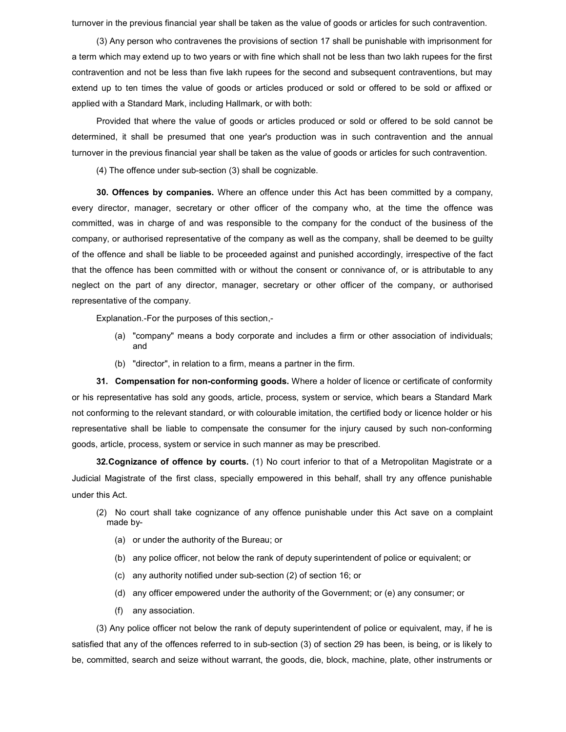turnover in the previous financial year shall be taken as the value of goods or articles for such contravention.

(3) Any person who contravenes the provisions of section 17 shall be punishable with imprisonment for a term which may extend up to two years or with fine which shall not be less than two lakh rupees for the first contravention and not be less than five lakh rupees for the second and subsequent contraventions, but may extend up to ten times the value of goods or articles produced or sold or offered to be sold or affixed or applied with a Standard Mark, including Hallmark, or with both:

Provided that where the value of goods or articles produced or sold or offered to be sold cannot be determined, it shall be presumed that one year's production was in such contravention and the annual turnover in the previous financial year shall be taken as the value of goods or articles for such contravention.

(4) The offence under sub-section (3) shall be cognizable.

30. Offences by companies. Where an offence under this Act has been committed by a company, every director, manager, secretary or other officer of the company who, at the time the offence was committed, was in charge of and was responsible to the company for the conduct of the business of the company, or authorised representative of the company as well as the company, shall be deemed to be guilty of the offence and shall be liable to be proceeded against and punished accordingly, irrespective of the fact that the offence has been committed with or without the consent or connivance of, or is attributable to any neglect on the part of any director, manager, secretary or other officer of the company, or authorised representative of the company.

Explanation.-For the purposes of this section,-

- (a) "company" means a body corporate and includes a firm or other association of individuals; and
- (b) "director", in relation to a firm, means a partner in the firm.

31. Compensation for non-conforming goods. Where a holder of licence or certificate of conformity or his representative has sold any goods, article, process, system or service, which bears a Standard Mark not conforming to the relevant standard, or with colourable imitation, the certified body or licence holder or his representative shall be liable to compensate the consumer for the injury caused by such non-conforming goods, article, process, system or service in such manner as may be prescribed.

32. Cognizance of offence by courts. (1) No court inferior to that of a Metropolitan Magistrate or a Judicial Magistrate of the first class, specially empowered in this behalf, shall try any offence punishable under this Act.

- (2) No court shall take cognizance of any offence punishable under this Act save on a complaint made by-
	- (a) or under the authority of the Bureau; or
	- (b) any police officer, not below the rank of deputy superintendent of police or equivalent; or
	- (c) any authority notified under sub-section (2) of section 16; or
	- (d) any officer empowered under the authority of the Government; or (e) any consumer; or
	- (f) any association.

(3) Any police officer not below the rank of deputy superintendent of police or equivalent, may, if he is satisfied that any of the offences referred to in sub-section (3) of section 29 has been, is being, or is likely to be, committed, search and seize without warrant, the goods, die, block, machine, plate, other instruments or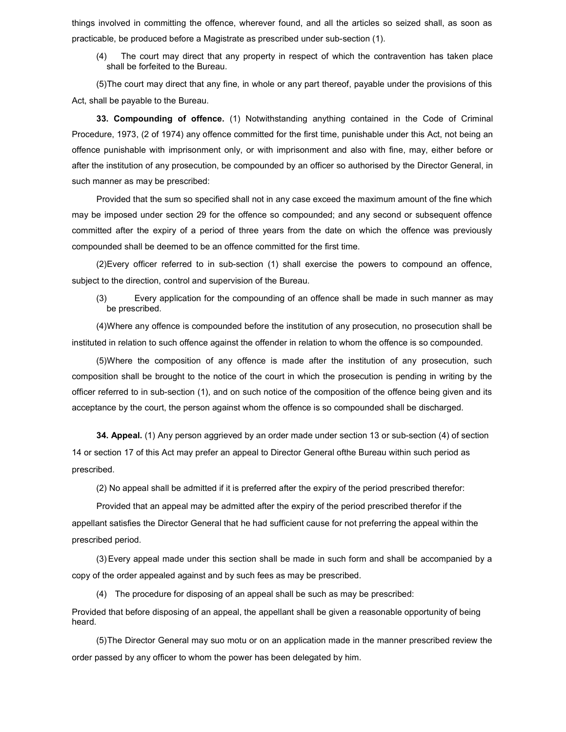things involved in committing the offence, wherever found, and all the articles so seized shall, as soon as practicable, be produced before a Magistrate as prescribed under sub-section (1).

(4) The court may direct that any property in respect of which the contravention has taken place shall be forfeited to the Bureau.

(5) The court may direct that any fine, in whole or any part thereof, payable under the provisions of this Act, shall be payable to the Bureau.

33. Compounding of offence. (1) Notwithstanding anything contained in the Code of Criminal Procedure, 1973, (2 of 1974) any offence committed for the first time, punishable under this Act, not being an offence punishable with imprisonment only, or with imprisonment and also with fine, may, either before or after the institution of any prosecution, be compounded by an officer so authorised by the Director General, in such manner as may be prescribed:

Provided that the sum so specified shall not in any case exceed the maximum amount of the fine which may be imposed under section 29 for the offence so compounded; and any second or subsequent offence committed after the expiry of a period of three years from the date on which the offence was previously compounded shall be deemed to be an offence committed for the first time.

(2) Every officer referred to in sub-section (1) shall exercise the powers to compound an offence, subject to the direction, control and supervision of the Bureau.

(3) Every application for the compounding of an offence shall be made in such manner as may be prescribed.

(4) Where any offence is compounded before the institution of any prosecution, no prosecution shall be instituted in relation to such offence against the offender in relation to whom the offence is so compounded.

(5) Where the composition of any offence is made after the institution of any prosecution, such composition shall be brought to the notice of the court in which the prosecution is pending in writing by the officer referred to in sub-section (1), and on such notice of the composition of the offence being given and its acceptance by the court, the person against whom the offence is so compounded shall be discharged.

34. Appeal. (1) Any person aggrieved by an order made under section 13 or sub-section (4) of section 14 or section 17 of this Act may prefer an appeal to Director General ofthe Bureau within such period as prescribed.

(2) No appeal shall be admitted if it is preferred after the expiry of the period prescribed therefor:

Provided that an appeal may be admitted after the expiry of the period prescribed therefor if the appellant satisfies the Director General that he had sufficient cause for not preferring the appeal within the prescribed period.

(3) Every appeal made under this section shall be made in such form and shall be accompanied by a copy of the order appealed against and by such fees as may be prescribed.

(4) The procedure for disposing of an appeal shall be such as may be prescribed:

Provided that before disposing of an appeal, the appellant shall be given a reasonable opportunity of being heard.

(5) The Director General may suo motu or on an application made in the manner prescribed review the order passed by any officer to whom the power has been delegated by him.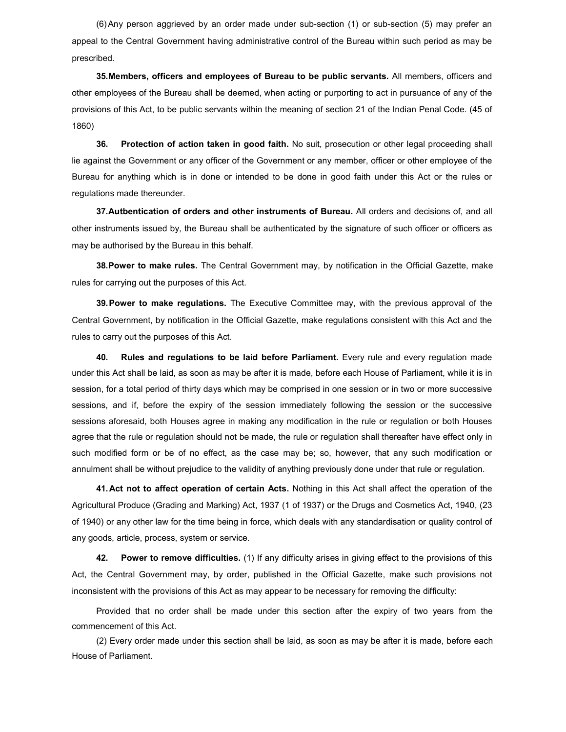(6) Any person aggrieved by an order made under sub-section (1) or sub-section (5) may prefer an appeal to the Central Government having administrative control of the Bureau within such period as may be prescribed.

35. Members, officers and employees of Bureau to be public servants. All members, officers and other employees of the Bureau shall be deemed, when acting or purporting to act in pursuance of any of the provisions of this Act, to be public servants within the meaning of section 21 of the Indian Penal Code. (45 of 1860)

36. Protection of action taken in good faith. No suit, prosecution or other legal proceeding shall lie against the Government or any officer of the Government or any member, officer or other employee of the Bureau for anything which is in done or intended to be done in good faith under this Act or the rules or regulations made thereunder.

37. Autbentication of orders and other instruments of Bureau. All orders and decisions of, and all other instruments issued by, the Bureau shall be authenticated by the signature of such officer or officers as may be authorised by the Bureau in this behalf.

**38. Power to make rules.** The Central Government may, by notification in the Official Gazette, make rules for carrying out the purposes of this Act.

39. Power to make regulations. The Executive Committee may, with the previous approval of the Central Government, by notification in the Official Gazette, make regulations consistent with this Act and the rules to carry out the purposes of this Act.

40. Rules and regulations to be laid before Parliament. Every rule and every regulation made under this Act shall be laid, as soon as may be after it is made, before each House of Parliament, while it is in session, for a total period of thirty days which may be comprised in one session or in two or more successive sessions, and if, before the expiry of the session immediately following the session or the successive sessions aforesaid, both Houses agree in making any modification in the rule or regulation or both Houses agree that the rule or regulation should not be made, the rule or regulation shall thereafter have effect only in such modified form or be of no effect, as the case may be; so, however, that any such modification or annulment shall be without prejudice to the validity of anything previously done under that rule or regulation.

41. Act not to affect operation of certain Acts. Nothing in this Act shall affect the operation of the Agricultural Produce (Grading and Marking) Act, 1937 (1 of 1937) or the Drugs and Cosmetics Act, 1940, (23 of 1940) or any other law for the time being in force, which deals with any standardisation or quality control of any goods, article, process, system or service.

42. Power to remove difficulties. (1) If any difficulty arises in giving effect to the provisions of this Act, the Central Government may, by order, published in the Official Gazette, make such provisions not inconsistent with the provisions of this Act as may appear to be necessary for removing the difficulty:

Provided that no order shall be made under this section after the expiry of two years from the commencement of this Act.

(2) Every order made under this section shall be laid, as soon as may be after it is made, before each House of Parliament.